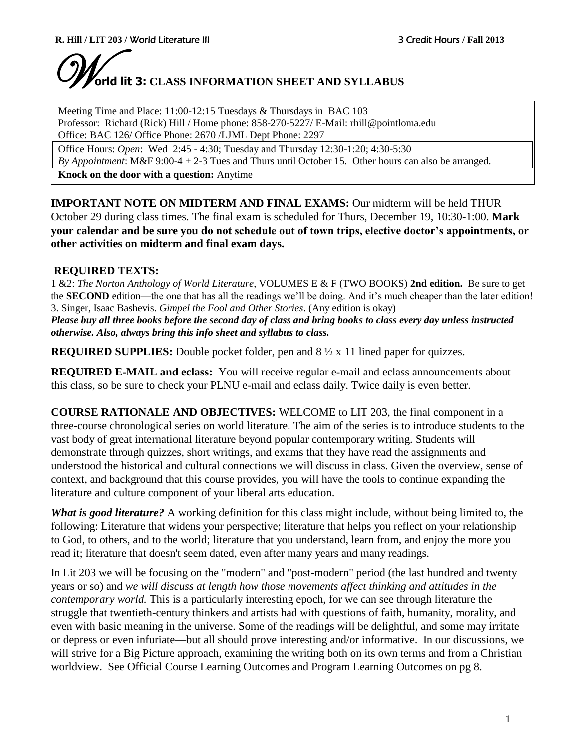# W**orld lit 3: CLASS INFORMATION SHEET AND SYLLABUS**

Meeting Time and Place: 11:00-12:15 Tuesdays & Thursdays in BAC 103 Professor: Richard (Rick) Hill / Home phone: 858-270-5227/ E-Mail: rhill@pointloma.edu Office: BAC 126/ Office Phone: 2670 /LJML Dept Phone: 2297

Office Hours: *Open*: Wed 2:45 - 4:30; Tuesday and Thursday 12:30-1:20; 4:30-5:30

*By Appointment*: M&F 9:00-4 + 2-3 Tues and Thurs until October 15. Other hours can also be arranged.

**Knock on the door with a question:** Anytime

**IMPORTANT NOTE ON MIDTERM AND FINAL EXAMS:** Our midterm will be held THUR October 29 during class times. The final exam is scheduled for Thurs, December 19, 10:30-1:00. **Mark your calendar and be sure you do not schedule out of town trips, elective doctor's appointments, or other activities on midterm and final exam days.** 

# **REQUIRED TEXTS:**

1 &2: *The Norton Anthology of World Literature*, VOLUMES E & F (TWO BOOKS) **2nd edition.** Be sure to get the **SECOND** edition—the one that has all the readings we'll be doing. And it's much cheaper than the later edition! 3. Singer, Isaac Bashevis. *Gimpel the Fool and Other Stories*. (Any edition is okay)

*Please buy all three books before the second day of class and bring books to class every day unless instructed otherwise. Also, always bring this info sheet and syllabus to class.* 

**REQUIRED SUPPLIES:** Double pocket folder, pen and 8 ½ x 11 lined paper for quizzes.

**REQUIRED E-MAIL and eclass:** You will receive regular e-mail and eclass announcements about this class, so be sure to check your PLNU e-mail and eclass daily. Twice daily is even better.

**COURSE RATIONALE AND OBJECTIVES:** WELCOME to LIT 203, the final component in a three-course chronological series on world literature. The aim of the series is to introduce students to the vast body of great international literature beyond popular contemporary writing. Students will demonstrate through quizzes, short writings, and exams that they have read the assignments and understood the historical and cultural connections we will discuss in class. Given the overview, sense of context, and background that this course provides, you will have the tools to continue expanding the literature and culture component of your liberal arts education.

*What is good literature?* A working definition for this class might include, without being limited to, the following: Literature that widens your perspective; literature that helps you reflect on your relationship to God, to others, and to the world; literature that you understand, learn from, and enjoy the more you read it; literature that doesn't seem dated, even after many years and many readings.

In Lit 203 we will be focusing on the "modern" and "post-modern" period (the last hundred and twenty years or so) and *we will discuss at length how those movements affect thinking and attitudes in the contemporary world.* This is a particularly interesting epoch, for we can see through literature the struggle that twentieth-century thinkers and artists had with questions of faith, humanity, morality, and even with basic meaning in the universe. Some of the readings will be delightful, and some may irritate or depress or even infuriate—but all should prove interesting and/or informative. In our discussions, we will strive for a Big Picture approach, examining the writing both on its own terms and from a Christian worldview. See Official Course Learning Outcomes and Program Learning Outcomes on pg 8.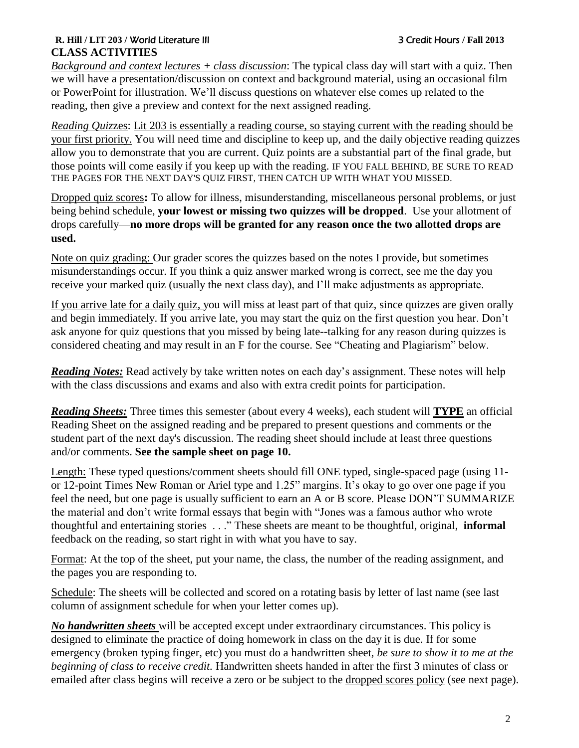## **R. Hill / LIT 203 /** World Literature III 3 Credit Hours **/ Fall 2013 CLASS ACTIVITIES**

*Background and context lectures + class discussion*: The typical class day will start with a quiz. Then we will have a presentation/discussion on context and background material, using an occasional film or PowerPoint for illustration. We'll discuss questions on whatever else comes up related to the reading, then give a preview and context for the next assigned reading.

*Reading Quiz*zes: Lit 203 is essentially a reading course, so staying current with the reading should be your first priority. You will need time and discipline to keep up, and the daily objective reading quizzes allow you to demonstrate that you are current. Quiz points are a substantial part of the final grade, but those points will come easily if you keep up with the reading. IF YOU FALL BEHIND, BE SURE TO READ THE PAGES FOR THE NEXT DAY'S QUIZ FIRST, THEN CATCH UP WITH WHAT YOU MISSED.

Dropped quiz scores**:** To allow for illness, misunderstanding, miscellaneous personal problems, or just being behind schedule, **your lowest or missing two quizzes will be dropped**. Use your allotment of drops carefully—**no more drops will be granted for any reason once the two allotted drops are used.**

Note on quiz grading: Our grader scores the quizzes based on the notes I provide, but sometimes misunderstandings occur. If you think a quiz answer marked wrong is correct, see me the day you receive your marked quiz (usually the next class day), and I'll make adjustments as appropriate.

If you arrive late for a daily quiz, you will miss at least part of that quiz, since quizzes are given orally and begin immediately. If you arrive late, you may start the quiz on the first question you hear. Don't ask anyone for quiz questions that you missed by being late--talking for any reason during quizzes is considered cheating and may result in an F for the course. See "Cheating and Plagiarism" below.

*Reading Notes:* Read actively by take written notes on each day's assignment. These notes will help with the class discussions and exams and also with extra credit points for participation.

*Reading Sheets:* Three times this semester (about every 4 weeks), each student will **TYPE** an official Reading Sheet on the assigned reading and be prepared to present questions and comments or the student part of the next day's discussion. The reading sheet should include at least three questions and/or comments. **See the sample sheet on page 10.**

Length: These typed questions/comment sheets should fill ONE typed, single-spaced page (using 11 or 12-point Times New Roman or Ariel type and 1.25" margins. It's okay to go over one page if you feel the need, but one page is usually sufficient to earn an A or B score. Please DON'T SUMMARIZE the material and don't write formal essays that begin with "Jones was a famous author who wrote thoughtful and entertaining stories . . ." These sheets are meant to be thoughtful, original, **informal**  feedback on the reading, so start right in with what you have to say.

Format: At the top of the sheet, put your name, the class, the number of the reading assignment, and the pages you are responding to.

Schedule: The sheets will be collected and scored on a rotating basis by letter of last name (see last column of assignment schedule for when your letter comes up).

*No handwritten sheets* will be accepted except under extraordinary circumstances. This policy is designed to eliminate the practice of doing homework in class on the day it is due. If for some emergency (broken typing finger, etc) you must do a handwritten sheet, *be sure to show it to me at the beginning of class to receive credit.* Handwritten sheets handed in after the first 3 minutes of class or emailed after class begins will receive a zero or be subject to the dropped scores policy (see next page).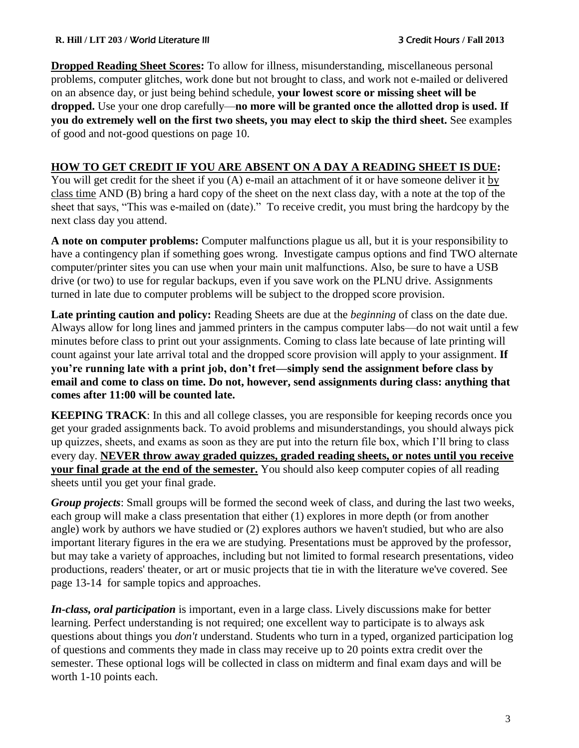**Dropped Reading Sheet Scores:** To allow for illness, misunderstanding, miscellaneous personal problems, computer glitches, work done but not brought to class, and work not e-mailed or delivered on an absence day, or just being behind schedule, **your lowest score or missing sheet will be dropped.** Use your one drop carefully—**no more will be granted once the allotted drop is used. If you do extremely well on the first two sheets, you may elect to skip the third sheet.** See examples of good and not-good questions on page 10.

# **HOW TO GET CREDIT IF YOU ARE ABSENT ON A DAY A READING SHEET IS DUE:**

You will get credit for the sheet if you (A) e-mail an attachment of it or have someone deliver it by class time AND (B) bring a hard copy of the sheet on the next class day, with a note at the top of the sheet that says, "This was e-mailed on (date)." To receive credit, you must bring the hardcopy by the next class day you attend.

**A note on computer problems:** Computer malfunctions plague us all, but it is your responsibility to have a contingency plan if something goes wrong. Investigate campus options and find TWO alternate computer/printer sites you can use when your main unit malfunctions. Also, be sure to have a USB drive (or two) to use for regular backups, even if you save work on the PLNU drive. Assignments turned in late due to computer problems will be subject to the dropped score provision.

**Late printing caution and policy:** Reading Sheets are due at the *beginning* of class on the date due. Always allow for long lines and jammed printers in the campus computer labs—do not wait until a few minutes before class to print out your assignments. Coming to class late because of late printing will count against your late arrival total and the dropped score provision will apply to your assignment. **If you're running late with a print job, don't fret—simply send the assignment before class by email and come to class on time. Do not, however, send assignments during class: anything that comes after 11:00 will be counted late.**

**KEEPING TRACK:** In this and all college classes, you are responsible for keeping records once you get your graded assignments back. To avoid problems and misunderstandings, you should always pick up quizzes, sheets, and exams as soon as they are put into the return file box, which I'll bring to class every day. **NEVER throw away graded quizzes, graded reading sheets, or notes until you receive your final grade at the end of the semester.** You should also keep computer copies of all reading sheets until you get your final grade.

*Group projects*: Small groups will be formed the second week of class, and during the last two weeks, each group will make a class presentation that either (1) explores in more depth (or from another angle) work by authors we have studied or (2) explores authors we haven't studied, but who are also important literary figures in the era we are studying. Presentations must be approved by the professor, but may take a variety of approaches, including but not limited to formal research presentations, video productions, readers' theater, or art or music projects that tie in with the literature we've covered. See page 13-14 for sample topics and approaches.

*In-class, oral participation* is important, even in a large class. Lively discussions make for better learning. Perfect understanding is not required; one excellent way to participate is to always ask questions about things you *don't* understand. Students who turn in a typed, organized participation log of questions and comments they made in class may receive up to 20 points extra credit over the semester. These optional logs will be collected in class on midterm and final exam days and will be worth 1-10 points each.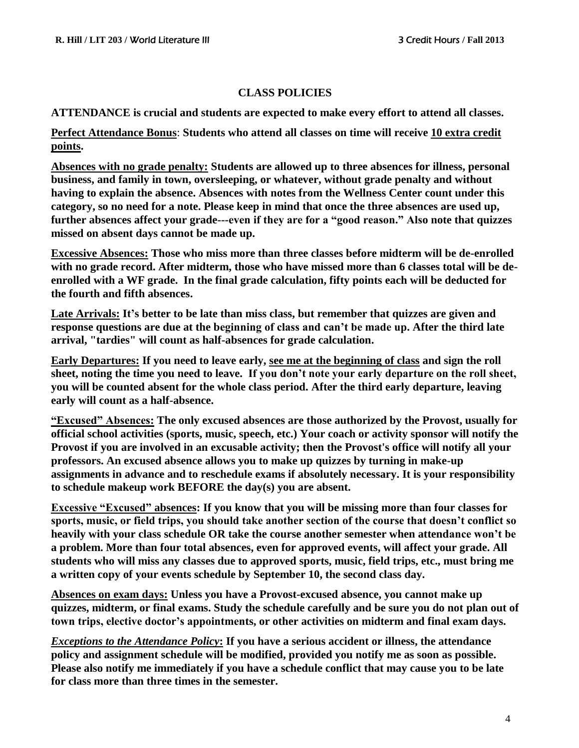## **CLASS POLICIES**

**ATTENDANCE is crucial and students are expected to make every effort to attend all classes.**

**Perfect Attendance Bonus**: **Students who attend all classes on time will receive 10 extra credit points.**

**Absences with no grade penalty: Students are allowed up to three absences for illness, personal business, and family in town, oversleeping, or whatever, without grade penalty and without having to explain the absence. Absences with notes from the Wellness Center count under this category, so no need for a note. Please keep in mind that once the three absences are used up, further absences affect your grade---even if they are for a "good reason." Also note that quizzes missed on absent days cannot be made up.**

**Excessive Absences: Those who miss more than three classes before midterm will be de-enrolled with no grade record. After midterm, those who have missed more than 6 classes total will be deenrolled with a WF grade. In the final grade calculation, fifty points each will be deducted for the fourth and fifth absences.**

**Late Arrivals: It's better to be late than miss class, but remember that quizzes are given and response questions are due at the beginning of class and can't be made up. After the third late arrival, "tardies" will count as half-absences for grade calculation.**

**Early Departures: If you need to leave early, see me at the beginning of class and sign the roll sheet, noting the time you need to leave. If you don't note your early departure on the roll sheet, you will be counted absent for the whole class period. After the third early departure, leaving early will count as a half-absence.**

**"Excused" Absences: The only excused absences are those authorized by the Provost, usually for official school activities (sports, music, speech, etc.) Your coach or activity sponsor will notify the Provost if you are involved in an excusable activity; then the Provost's office will notify all your professors. An excused absence allows you to make up quizzes by turning in make-up assignments in advance and to reschedule exams if absolutely necessary. It is your responsibility to schedule makeup work BEFORE the day(s) you are absent.**

**Excessive "Excused" absences: If you know that you will be missing more than four classes for sports, music, or field trips, you should take another section of the course that doesn't conflict so heavily with your class schedule OR take the course another semester when attendance won't be a problem. More than four total absences, even for approved events, will affect your grade. All students who will miss any classes due to approved sports, music, field trips, etc., must bring me a written copy of your events schedule by September 10, the second class day.** 

**Absences on exam days: Unless you have a Provost-excused absence, you cannot make up quizzes, midterm, or final exams. Study the schedule carefully and be sure you do not plan out of town trips, elective doctor's appointments, or other activities on midterm and final exam days.** 

*Exceptions to the Attendance Policy***: If you have a serious accident or illness, the attendance policy and assignment schedule will be modified, provided you notify me as soon as possible. Please also notify me immediately if you have a schedule conflict that may cause you to be late for class more than three times in the semester.**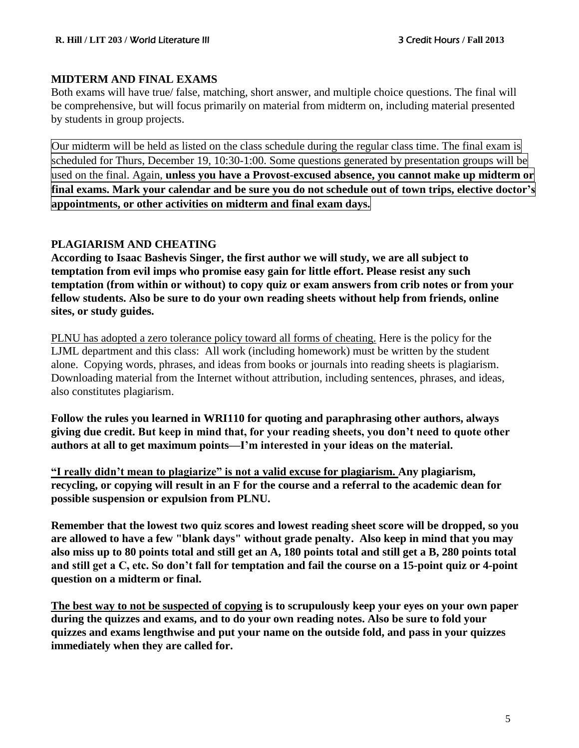# **MIDTERM AND FINAL EXAMS**

Both exams will have true/ false, matching, short answer, and multiple choice questions. The final will be comprehensive, but will focus primarily on material from midterm on, including material presented by students in group projects.

Our midterm will be held as listed on the class schedule during the regular class time. The final exam is scheduled for Thurs, December 19, 10:30-1:00. Some questions generated by presentation groups will be used on the final. Again, **unless you have a Provost-excused absence, you cannot make up midterm or** final exams. Mark your calendar and be sure you do not schedule out of town trips, elective doctor's **appointments, or other activities on midterm and final exam days.** 

# **PLAGIARISM AND CHEATING**

**According to Isaac Bashevis Singer, the first author we will study, we are all subject to temptation from evil imps who promise easy gain for little effort. Please resist any such temptation (from within or without) to copy quiz or exam answers from crib notes or from your fellow students. Also be sure to do your own reading sheets without help from friends, online sites, or study guides.** 

PLNU has adopted a zero tolerance policy toward all forms of cheating. Here is the policy for the LJML department and this class: All work (including homework) must be written by the student alone. Copying words, phrases, and ideas from books or journals into reading sheets is plagiarism. Downloading material from the Internet without attribution, including sentences, phrases, and ideas, also constitutes plagiarism.

**Follow the rules you learned in WRI110 for quoting and paraphrasing other authors, always giving due credit. But keep in mind that, for your reading sheets, you don't need to quote other authors at all to get maximum points—I'm interested in your ideas on the material.**

**"I really didn't mean to plagiarize" is not a valid excuse for plagiarism. Any plagiarism, recycling, or copying will result in an F for the course and a referral to the academic dean for possible suspension or expulsion from PLNU.**

**Remember that the lowest two quiz scores and lowest reading sheet score will be dropped, so you are allowed to have a few "blank days" without grade penalty. Also keep in mind that you may also miss up to 80 points total and still get an A, 180 points total and still get a B, 280 points total and still get a C, etc. So don't fall for temptation and fail the course on a 15-point quiz or 4-point question on a midterm or final.**

**The best way to not be suspected of copying is to scrupulously keep your eyes on your own paper during the quizzes and exams, and to do your own reading notes. Also be sure to fold your quizzes and exams lengthwise and put your name on the outside fold, and pass in your quizzes immediately when they are called for.**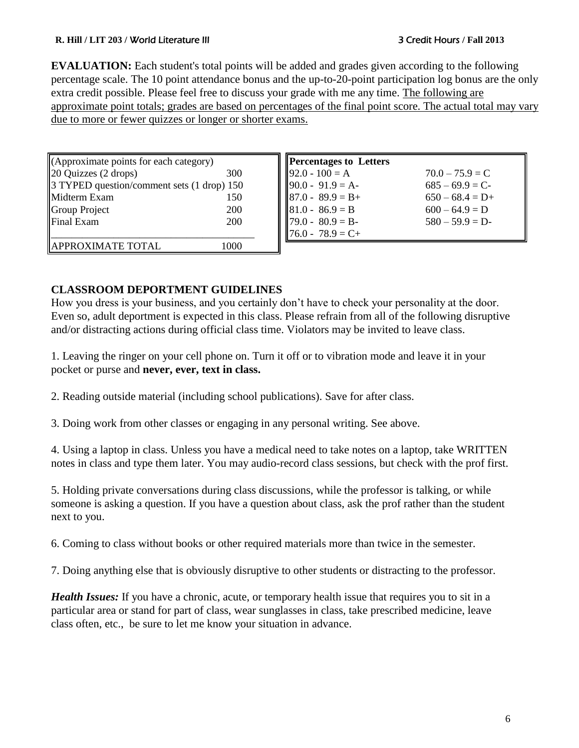#### **R. Hill / LIT 203 /** World Literature III 3 Credit Hours **/ Fall 2013**

**EVALUATION:** Each student's total points will be added and grades given according to the following percentage scale. The 10 point attendance bonus and the up-to-20-point participation log bonus are the only extra credit possible. Please feel free to discuss your grade with me any time. The following are approximate point totals; grades are based on percentages of the final point score. The actual total may vary due to more or fewer quizzes or longer or shorter exams.

| (Approximate points for each category)     |     |
|--------------------------------------------|-----|
| 20 Quizzes (2 drops)                       | 300 |
| 3 TYPED question/comment sets (1 drop) 150 |     |
| Midterm Exam                               | 150 |
| Group Project                              | 200 |
| Final Exam                                 | 200 |
|                                            |     |
| <b>APPROXIMATE TOTAL</b>                   |     |

| <b>Percentages to Letters</b> |                   |
|-------------------------------|-------------------|
| $92.0 - 100 = A$              | $70.0 - 75.9 = C$ |
| $90.0 - 91.9 = A$             | $685 - 69.9 = C$  |
| $87.0 - 89.9 = B +$           | $650 - 68.4 = D+$ |
| $81.0 - 86.9 = B$             | $600 - 64.9 = D$  |
| $179.0 - 80.9 = B$            | $580 - 59.9 = D$  |
| $76.0 - 78.9 = C +$           |                   |

# **CLASSROOM DEPORTMENT GUIDELINES**

How you dress is your business, and you certainly don't have to check your personality at the door. Even so, adult deportment is expected in this class. Please refrain from all of the following disruptive and/or distracting actions during official class time. Violators may be invited to leave class.

1. Leaving the ringer on your cell phone on. Turn it off or to vibration mode and leave it in your pocket or purse and **never, ever, text in class.** 

2. Reading outside material (including school publications). Save for after class.

3. Doing work from other classes or engaging in any personal writing. See above.

4. Using a laptop in class. Unless you have a medical need to take notes on a laptop, take WRITTEN notes in class and type them later. You may audio-record class sessions, but check with the prof first.

5. Holding private conversations during class discussions, while the professor is talking, or while someone is asking a question. If you have a question about class, ask the prof rather than the student next to you.

6. Coming to class without books or other required materials more than twice in the semester.

7. Doing anything else that is obviously disruptive to other students or distracting to the professor.

*Health Issues:* If you have a chronic, acute, or temporary health issue that requires you to sit in a particular area or stand for part of class, wear sunglasses in class, take prescribed medicine, leave class often, etc., be sure to let me know your situation in advance.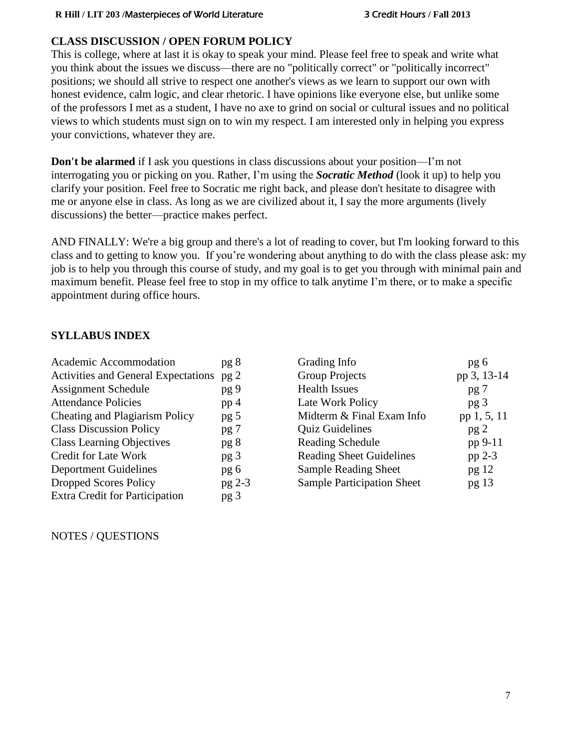# **CLASS DISCUSSION / OPEN FORUM POLICY**

This is college, where at last it is okay to speak your mind. Please feel free to speak and write what you think about the issues we discuss—there are no "politically correct" or "politically incorrect" positions; we should all strive to respect one another's views as we learn to support our own with honest evidence, calm logic, and clear rhetoric. I have opinions like everyone else, but unlike some of the professors I met as a student, I have no axe to grind on social or cultural issues and no political views to which students must sign on to win my respect. I am interested only in helping you express your convictions, whatever they are.

**Don't be alarmed** if I ask you questions in class discussions about your position—I'm not interrogating you or picking on you. Rather, I'm using the *Socratic Method* (look it up) to help you clarify your position. Feel free to Socratic me right back, and please don't hesitate to disagree with me or anyone else in class. As long as we are civilized about it, I say the more arguments (lively discussions) the better—practice makes perfect.

AND FINALLY: We're a big group and there's a lot of reading to cover, but I'm looking forward to this class and to getting to know you. If you're wondering about anything to do with the class please ask: my job is to help you through this course of study, and my goal is to get you through with minimal pain and maximum benefit. Please feel free to stop in my office to talk anytime I'm there, or to make a specific appointment during office hours.

# **SYLLABUS INDEX**

| Academic Accommodation                     | pg 8            |
|--------------------------------------------|-----------------|
| <b>Activities and General Expectations</b> | pg <sub>2</sub> |
| <b>Assignment Schedule</b>                 | pg 9            |
| <b>Attendance Policies</b>                 | pp <sub>4</sub> |
| Cheating and Plagiarism Policy             | pg 5            |
| <b>Class Discussion Policy</b>             | pg 7            |
| <b>Class Learning Objectives</b>           | pg 8            |
| <b>Credit for Late Work</b>                | pg 3            |
| <b>Deportment Guidelines</b>               | pg 6            |
| <b>Dropped Scores Policy</b>               | pg 2-3          |
| <b>Extra Credit for Participation</b>      | pg 3            |

Grading Info pg 6 Group Projects pp 3, 13-14 Health Issues pg 7 Late Work Policy pg 3 Midterm  $&$  Final Exam Info pp 1, 5, 11 Quiz Guidelines pg 2 Reading Schedule pp 9-11 Reading Sheet Guidelines pp 2-3 Sample Reading Sheet pg 12 Sample Participation Sheet pg 13

NOTES / QUESTIONS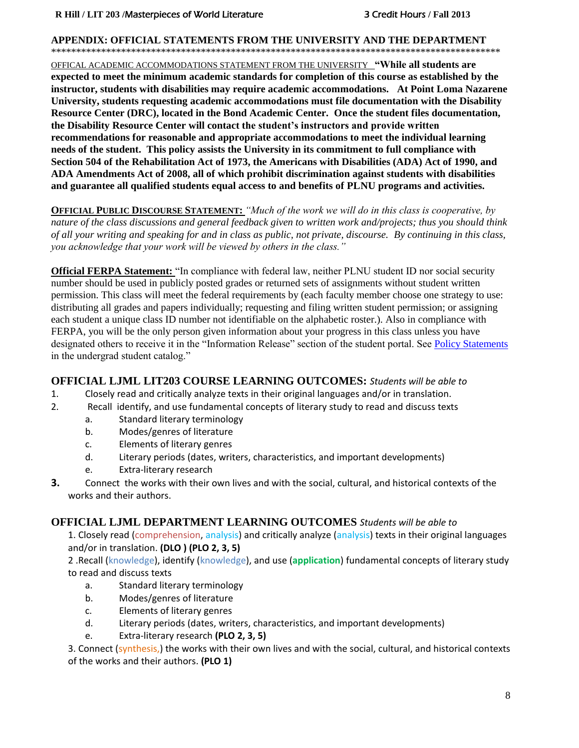#### **APPENDIX: OFFICIAL STATEMENTS FROM THE UNIVERSITY AND THE DEPARTMENT**

\*\*\*\*\*\*\*\*\*\*\*\*\*\*\*\*\*\*\*\*\*\*\*\*\*\*\*\*\*\*\*\*\*\*\*\*\*\*\*\*\*\*\*\*\*\*\*\*\*\*\*\*\*\*\*\*\*\*\*\*\*\*\*\*\*\*\*\*\*\*\*\*\*\*\*\*\*\*\*\*\*\*\*\*\*\*\*\*\*\*

OFFICAL ACADEMIC ACCOMMODATIONS STATEMENT FROM THE UNIVERSITY **"While all students are expected to meet the minimum academic standards for completion of this course as established by the instructor, students with disabilities may require academic accommodations. At Point Loma Nazarene University, students requesting academic accommodations must file documentation with the Disability Resource Center (DRC), located in the Bond Academic Center. Once the student files documentation, the Disability Resource Center will contact the student's instructors and provide written recommendations for reasonable and appropriate accommodations to meet the individual learning needs of the student. This policy assists the University in its commitment to full compliance with Section 504 of the Rehabilitation Act of 1973, the Americans with Disabilities (ADA) Act of 1990, and ADA Amendments Act of 2008, all of which prohibit discrimination against students with disabilities and guarantee all qualified students equal access to and benefits of PLNU programs and activities.**

**OFFICIAL PUBLIC DISCOURSE STATEMENT:** *"Much of the work we will do in this class is cooperative, by nature of the class discussions and general feedback given to written work and/projects; thus you should think of all your writing and speaking for and in class as public, not private, discourse. By continuing in this class, you acknowledge that your work will be viewed by others in the class."*

**Official FERPA Statement:** "In compliance with federal law, neither PLNU student ID nor social security number should be used in publicly posted grades or returned sets of assignments without student written permission. This class will meet the federal requirements by (each faculty member choose one strategy to use: distributing all grades and papers individually; requesting and filing written student permission; or assigning each student a unique class ID number not identifiable on the alphabetic roster.). Also in compliance with FERPA, you will be the only person given information about your progress in this class unless you have designated others to receive it in the "Information Release" section of the student portal. See [Policy Statements](http://www.pointloma.edu/experience/academics/catalogs/undergraduate-catalog/policy-statements) in the undergrad student catalog."

#### **OFFICIAL LJML LIT203 COURSE LEARNING OUTCOMES:** *Students will be able to*

- 1. Closely read and critically analyze texts in their original languages and/or in translation.
- 2. Recall identify, and use fundamental concepts of literary study to read and discuss texts
	- a. Standard literary terminology
	- b. Modes/genres of literature
	- c. Elements of literary genres
	- d. Literary periods (dates, writers, characteristics, and important developments)
	- e. Extra-literary research
- **3.** Connect the works with their own lives and with the social, cultural, and historical contexts of the works and their authors.

#### **OFFICIAL LJML DEPARTMENT LEARNING OUTCOMES** *Students will be able to*

1. Closely read (comprehension, analysis) and critically analyze (analysis) texts in their original languages and/or in translation. **(DLO ) (PLO 2, 3, 5)**

2 .Recall (knowledge), identify (knowledge), and use (**application**) fundamental concepts of literary study to read and discuss texts

- a. Standard literary terminology
- b. Modes/genres of literature
- c. Elements of literary genres
- d. Literary periods (dates, writers, characteristics, and important developments)
- e. Extra-literary research **(PLO 2, 3, 5)**

3. Connect (synthesis,) the works with their own lives and with the social, cultural, and historical contexts of the works and their authors. **(PLO 1)**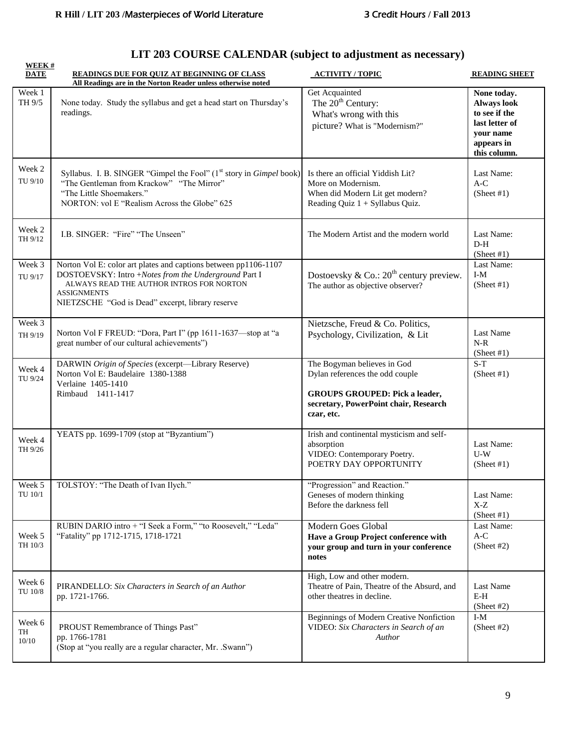# **LIT 203 COURSE CALENDAR (subject to adjustment as necessary)**

| <b>WEEK#</b><br><b>DATE</b>              | READINGS DUE FOR QUIZ AT BEGINNING OF CLASS<br>All Readings are in the Norton Reader unless otherwise noted                                                                                                                                   | <b>ACTIVITY / TOPIC</b>                                                                                                                                        | <b>READING SHEET</b>                                                                                     |
|------------------------------------------|-----------------------------------------------------------------------------------------------------------------------------------------------------------------------------------------------------------------------------------------------|----------------------------------------------------------------------------------------------------------------------------------------------------------------|----------------------------------------------------------------------------------------------------------|
| Week 1<br>TH 9/5                         | None today. Study the syllabus and get a head start on Thursday's<br>readings.                                                                                                                                                                | Get Acquainted<br>The 20 <sup>th</sup> Century:<br>What's wrong with this<br>picture? What is "Modernism?"                                                     | None today.<br>Always look<br>to see if the<br>last letter of<br>your name<br>appears in<br>this column. |
| Week 2<br>TU 9/10                        | Syllabus. I. B. SINGER "Gimpel the Fool" (1 <sup>st</sup> story in <i>Gimpel</i> book)<br>"The Gentleman from Krackow" "The Mirror"<br>"The Little Shoemakers."<br>NORTON: vol E "Realism Across the Globe" 625                               | Is there an official Yiddish Lit?<br>More on Modernism.<br>When did Modern Lit get modern?<br>Reading Quiz 1 + Syllabus Quiz.                                  | Last Name:<br>$A-C$<br>(Sheet #1)                                                                        |
| Week 2<br>TH 9/12                        | I.B. SINGER: "Fire" "The Unseen"                                                                                                                                                                                                              | The Modern Artist and the modern world                                                                                                                         | Last Name:<br>$D-H$<br>(Sheet #1)                                                                        |
| Week 3<br>TU 9/17                        | Norton Vol E: color art plates and captions between pp1106-1107<br>DOSTOEVSKY: Intro +Notes from the Underground Part I<br>ALWAYS READ THE AUTHOR INTROS FOR NORTON<br><b>ASSIGNMENTS</b><br>NIETZSCHE "God is Dead" excerpt, library reserve | Dostoevsky & Co.: $20^{th}$ century preview.<br>The author as objective observer?                                                                              | Last Name:<br>$I-M$<br>(Sheet #1)                                                                        |
| Week 3<br>TH 9/19                        | Norton Vol F FREUD: "Dora, Part I" (pp 1611-1637-stop at "a<br>great number of our cultural achievements")                                                                                                                                    | Nietzsche, Freud & Co. Politics,<br>Psychology, Civilization, & Lit                                                                                            | Last Name<br>$N-R$<br>(Sheet #1)                                                                         |
| Week 4<br>TU 9/24                        | DARWIN Origin of Species (excerpt-Library Reserve)<br>Norton Vol E: Baudelaire 1380-1388<br>Verlaine 1405-1410<br>Rimbaud 1411-1417                                                                                                           | The Bogyman believes in God<br>Dylan references the odd couple<br><b>GROUPS GROUPED: Pick a leader,</b><br>secretary, PowerPoint chair, Research<br>czar, etc. | $S-T$<br>(Sheet #1)                                                                                      |
| Week 4<br>TH 9/26                        | YEATS pp. 1699-1709 (stop at "Byzantium")                                                                                                                                                                                                     | Irish and continental mysticism and self-<br>absorption<br>VIDEO: Contemporary Poetry.<br>POETRY DAY OPPORTUNITY                                               | Last Name:<br>$U-W$<br>(Sheet #1)                                                                        |
| Week 5<br>TU 10/1                        | TOLSTOY: "The Death of Ivan Ilych."                                                                                                                                                                                                           | "Progression" and Reaction."<br>Geneses of modern thinking<br>Before the darkness fell                                                                         | Last Name:<br>X-Z<br>(Sheet #1)                                                                          |
| Week 5<br>TH 10/3                        | RUBIN DARIO intro + "I Seek a Form," "to Roosevelt," "Leda"<br>"Fatality" pp 1712-1715, 1718-1721                                                                                                                                             | Modern Goes Global<br>Have a Group Project conference with<br>your group and turn in your conference<br>notes                                                  | Last Name:<br>$A-C$<br>(Sheet #2)                                                                        |
| Week 6<br>$\overline{\rm T}{\rm U}$ 10/8 | PIRANDELLO: Six Characters in Search of an Author<br>pp. 1721-1766.                                                                                                                                                                           | High, Low and other modern.<br>Theatre of Pain, Theatre of the Absurd, and<br>other theatres in decline.                                                       | Last Name<br>E-H<br>(Sheet #2)                                                                           |
| Week 6<br>TH<br>10/10                    | PROUST Remembrance of Things Past"<br>pp. 1766-1781<br>(Stop at "you really are a regular character, Mr. .Swann")                                                                                                                             | Beginnings of Modern Creative Nonfiction<br>VIDEO: Six Characters in Search of an<br>Author                                                                    | $I-M$<br>(Sheet #2)                                                                                      |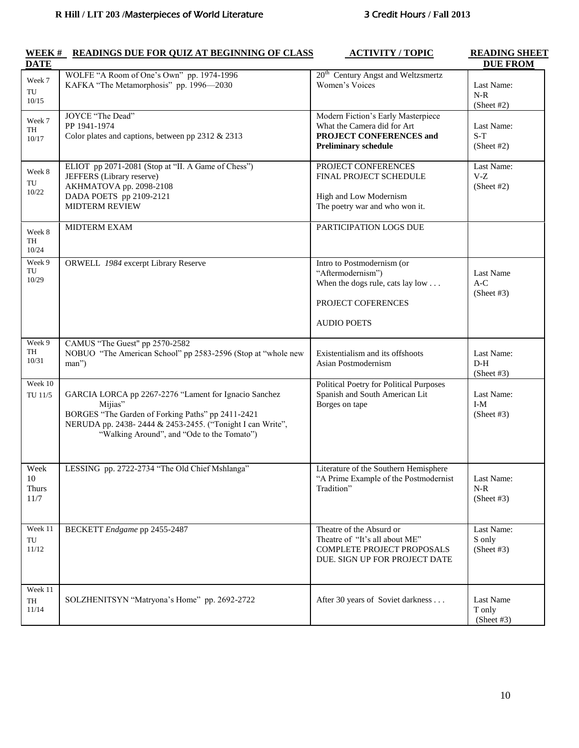| <b>DATE</b>                        |                                                                                                                                                                                                                                  |                                                                                                                                 | <b>DUE FROM</b>                    |
|------------------------------------|----------------------------------------------------------------------------------------------------------------------------------------------------------------------------------------------------------------------------------|---------------------------------------------------------------------------------------------------------------------------------|------------------------------------|
| Week 7<br>TU<br>10/15              | WOLFE "A Room of One's Own" pp. 1974-1996<br>KAFKA "The Metamorphosis" pp. 1996-2030                                                                                                                                             | 20 <sup>th</sup> Century Angst and Weltzsmertz<br>Women's Voices                                                                | Last Name:<br>$N-R$<br>(Sheet #2)  |
| Week 7<br>TH<br>10/17              | JOYCE "The Dead"<br>PP 1941-1974<br>Color plates and captions, between pp 2312 & 2313                                                                                                                                            | Modern Fiction's Early Masterpiece<br>What the Camera did for Art<br>PROJECT CONFERENCES and<br><b>Preliminary schedule</b>     | Last Name:<br>$S-T$<br>(Sheet #2)  |
| Week 8<br>TU<br>10/22              | ELIOT pp 2071-2081 (Stop at "II. A Game of Chess")<br>JEFFERS (Library reserve)<br>AKHMATOVA pp. 2098-2108<br>DADA POETS pp 2109-2121<br><b>MIDTERM REVIEW</b>                                                                   | PROJECT CONFERENCES<br>FINAL PROJECT SCHEDULE<br>High and Low Modernism<br>The poetry war and who won it.                       | Last Name:<br>$V-Z$<br>(Sheet #2)  |
| Week 8<br>TH<br>10/24              | <b>MIDTERM EXAM</b>                                                                                                                                                                                                              | PARTICIPATION LOGS DUE                                                                                                          |                                    |
| Week 9<br>TU<br>10/29              | ORWELL 1984 excerpt Library Reserve                                                                                                                                                                                              | Intro to Postmodernism (or<br>"Aftermodernism")<br>When the dogs rule, cats lay low<br>PROJECT COFERENCES<br><b>AUDIO POETS</b> | Last Name<br>$A-C$<br>(Sheet #3)   |
| Week 9<br>TH<br>10/31              | CAMUS "The Guest" pp 2570-2582<br>NOBUO "The American School" pp 2583-2596 (Stop at "whole new<br>man")                                                                                                                          | Existentialism and its offshoots<br>Asian Postmodernism                                                                         | Last Name:<br>$D-H$<br>(Sheet #3)  |
| Week 10<br>TU 11/5                 | GARCIA LORCA pp 2267-2276 "Lament for Ignacio Sanchez<br>Mijias"<br>BORGES "The Garden of Forking Paths" pp 2411-2421<br>NERUDA pp. 2438-2444 & 2453-2455. ("Tonight I can Write",<br>"Walking Around", and "Ode to the Tomato") | <b>Political Poetry for Political Purposes</b><br>Spanish and South American Lit<br>Borges on tape                              | Last Name:<br>$I-M$<br>(Sheet #3)  |
| Week<br>10<br><b>Thurs</b><br>11/7 | LESSING pp. 2722-2734 "The Old Chief Mshlanga"                                                                                                                                                                                   | Literature of the Southern Hemisphere<br>"A Prime Example of the Postmodernist<br>Tradition"                                    | Last Name:<br>$N-R$<br>(Sheet #3)  |
| Week 11<br>TU<br>11/12             | BECKETT Endgame pp 2455-2487                                                                                                                                                                                                     | Theatre of the Absurd or<br>Theatre of "It's all about ME"<br>COMPLETE PROJECT PROPOSALS<br>DUE. SIGN UP FOR PROJECT DATE       | Last Name:<br>S only<br>(Sheet #3) |
| Week 11<br>TH<br>11/14             | SOLZHENITSYN "Matryona's Home" pp. 2692-2722                                                                                                                                                                                     | After 30 years of Soviet darkness                                                                                               | Last Name<br>T only<br>(Sheet #3)  |

### **WEEK # READINGS DUE FOR QUIZ AT BEGINNING OF CLASS ACTIVITY / TOPIC READING SHEET**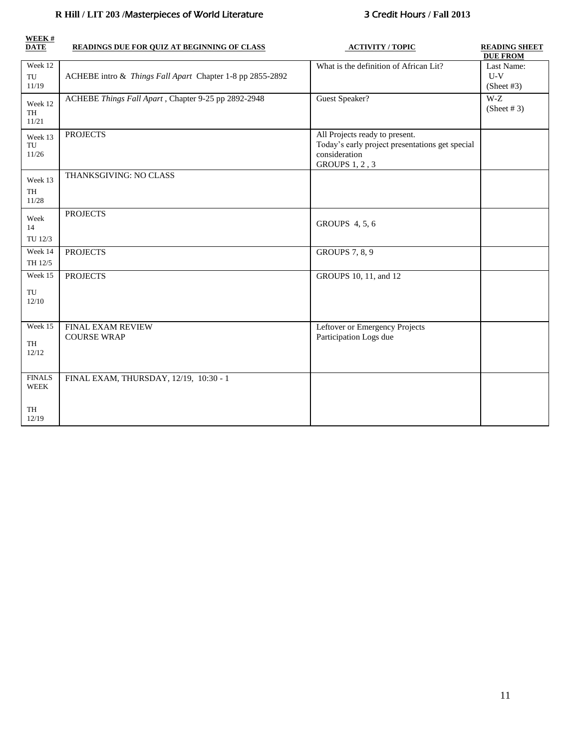# **R Hill / LIT 203 /**Masterpieces of World Literature 3 Credit Hours **/ Fall 2013**

| WEEK#<br><b>DATE</b>                        | <b>READINGS DUE FOR QUIZ AT BEGINNING OF CLASS</b>        | <b>ACTIVITY / TOPIC</b>                                                                                                     | <b>READING SHEET</b><br><b>DUE FROM</b> |
|---------------------------------------------|-----------------------------------------------------------|-----------------------------------------------------------------------------------------------------------------------------|-----------------------------------------|
| Week 12<br>TU<br>11/19                      | ACHEBE intro & Things Fall Apart Chapter 1-8 pp 2855-2892 | What is the definition of African Lit?                                                                                      | Last Name:<br>$U-V$<br>(Sheet #3)       |
| Week 12<br>TH<br>11/21                      | ACHEBE Things Fall Apart, Chapter 9-25 pp 2892-2948       | Guest Speaker?                                                                                                              | $W-Z$<br>(Sheet # 3)                    |
| Week 13<br>TU<br>11/26                      | <b>PROJECTS</b>                                           | All Projects ready to present.<br>Today's early project presentations get special<br>consideration<br><b>GROUPS 1, 2, 3</b> |                                         |
| Week 13<br>TH<br>11/28                      | THANKSGIVING: NO CLASS                                    |                                                                                                                             |                                         |
| Week<br>14<br>TU 12/3                       | <b>PROJECTS</b>                                           | GROUPS 4, 5, 6                                                                                                              |                                         |
| Week 14<br>TH 12/5                          | <b>PROJECTS</b>                                           | <b>GROUPS</b> 7, 8, 9                                                                                                       |                                         |
| Week 15<br>TU<br>12/10                      | <b>PROJECTS</b>                                           | GROUPS 10, 11, and 12                                                                                                       |                                         |
| Week 15<br>TH<br>12/12                      | FINAL EXAM REVIEW<br><b>COURSE WRAP</b>                   | Leftover or Emergency Projects<br>Participation Logs due                                                                    |                                         |
| <b>FINALS</b><br><b>WEEK</b><br>TH<br>12/19 | FINAL EXAM, THURSDAY, 12/19, 10:30 - 1                    |                                                                                                                             |                                         |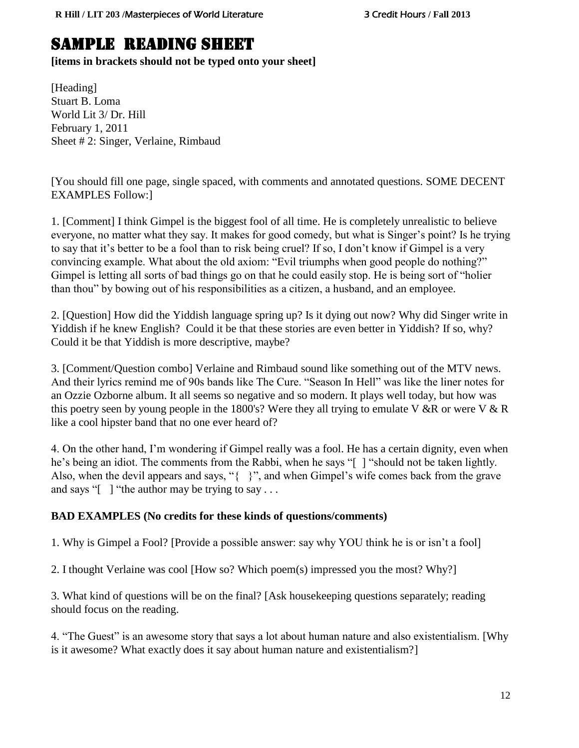# SAMPLE READING SHEET

**[items in brackets should not be typed onto your sheet]**

[Heading] Stuart B. Loma World Lit 3/ Dr. Hill February 1, 2011 Sheet # 2: Singer, Verlaine, Rimbaud

[You should fill one page, single spaced, with comments and annotated questions. SOME DECENT EXAMPLES Follow:]

1. [Comment] I think Gimpel is the biggest fool of all time. He is completely unrealistic to believe everyone, no matter what they say. It makes for good comedy, but what is Singer's point? Is he trying to say that it's better to be a fool than to risk being cruel? If so, I don't know if Gimpel is a very convincing example. What about the old axiom: "Evil triumphs when good people do nothing?" Gimpel is letting all sorts of bad things go on that he could easily stop. He is being sort of "holier than thou" by bowing out of his responsibilities as a citizen, a husband, and an employee.

2. [Question] How did the Yiddish language spring up? Is it dying out now? Why did Singer write in Yiddish if he knew English? Could it be that these stories are even better in Yiddish? If so, why? Could it be that Yiddish is more descriptive, maybe?

3. [Comment/Question combo] Verlaine and Rimbaud sound like something out of the MTV news. And their lyrics remind me of 90s bands like The Cure. "Season In Hell" was like the liner notes for an Ozzie Ozborne album. It all seems so negative and so modern. It plays well today, but how was this poetry seen by young people in the 1800's? Were they all trying to emulate V &R or were V & R like a cool hipster band that no one ever heard of?

4. On the other hand, I'm wondering if Gimpel really was a fool. He has a certain dignity, even when he's being an idiot. The comments from the Rabbi, when he says "[ ] "should not be taken lightly. Also, when the devil appears and says, "{ }", and when Gimpel's wife comes back from the grave and says " $\lceil \cdot \rceil$  "the author may be trying to say ...

# **BAD EXAMPLES (No credits for these kinds of questions/comments)**

1. Why is Gimpel a Fool? [Provide a possible answer: say why YOU think he is or isn't a fool]

2. I thought Verlaine was cool [How so? Which poem(s) impressed you the most? Why?]

3. What kind of questions will be on the final? [Ask housekeeping questions separately; reading should focus on the reading.

4. "The Guest" is an awesome story that says a lot about human nature and also existentialism. [Why is it awesome? What exactly does it say about human nature and existentialism?]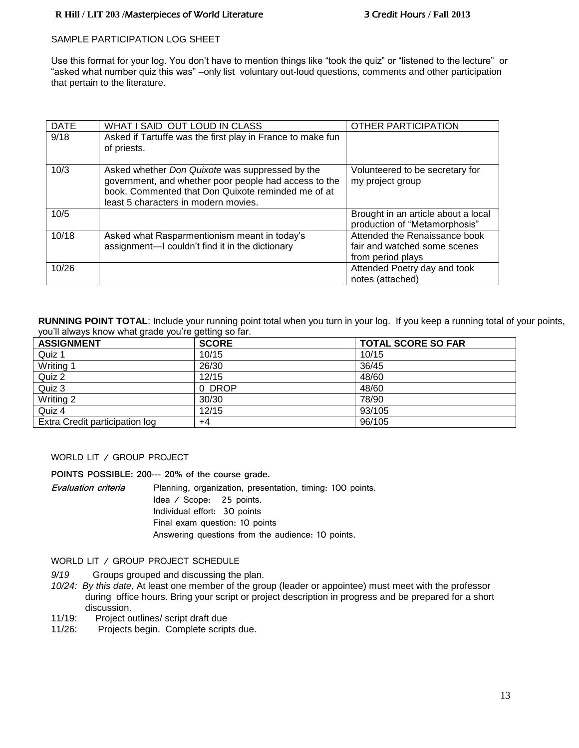#### **R Hill / LIT 203 /**Masterpieces of World Literature 3 Credit Hours **/ Fall 2013**

#### SAMPLE PARTICIPATION LOG SHEET

Use this format for your log. You don't have to mention things like "took the quiz" or "listened to the lecture" or "asked what number quiz this was" –only list voluntary out-loud questions, comments and other participation that pertain to the literature.

| <b>DATE</b> | WHAT I SAID OUT LOUD IN CLASS                                                                                                                                                                          | OTHER PARTICIPATION                                                                |
|-------------|--------------------------------------------------------------------------------------------------------------------------------------------------------------------------------------------------------|------------------------------------------------------------------------------------|
| 9/18        | Asked if Tartuffe was the first play in France to make fun<br>of priests.                                                                                                                              |                                                                                    |
| 10/3        | Asked whether Don Quixote was suppressed by the<br>government, and whether poor people had access to the<br>book. Commented that Don Quixote reminded me of at<br>least 5 characters in modern movies. | Volunteered to be secretary for<br>my project group                                |
| 10/5        |                                                                                                                                                                                                        | Brought in an article about a local<br>production of "Metamorphosis"               |
| 10/18       | Asked what Rasparmentionism meant in today's<br>assignment-I couldn't find it in the dictionary                                                                                                        | Attended the Renaissance book<br>fair and watched some scenes<br>from period plays |
| 10/26       |                                                                                                                                                                                                        | Attended Poetry day and took<br>notes (attached)                                   |

**RUNNING POINT TOTAL**: Include your running point total when you turn in your log. If you keep a running total of your points, you'll always know what grade you're getting so far.

| <b>ASSIGNMENT</b>              | <b>SCORE</b> | <b>TOTAL SCORE SO FAR</b> |
|--------------------------------|--------------|---------------------------|
| Quiz 1                         | 10/15        | 10/15                     |
| Writing                        | 26/30        | 36/45                     |
| Quiz 2                         | 12/15        | 48/60                     |
| Quiz 3                         | 0 DROP       | 48/60                     |
| Writing 2                      | 30/30        | 78/90                     |
| Quiz 4                         | 12/15        | 93/105                    |
| Extra Credit participation log | +4           | 96/105                    |

#### WORLD LIT / GROUP PROJECT

**POINTS POSSIBLE: 200--- 20% of the course grade.**

| Evaluation criteria | Planning, organization, presentation, timing: 100 points. |  |  |
|---------------------|-----------------------------------------------------------|--|--|
|                     | ldea / Score: 25 points.                                  |  |  |
|                     | Individual effort: 30 points                              |  |  |
|                     | Final exam question: 10 points                            |  |  |
|                     | Answering questions from the audience: 10 points.         |  |  |

#### WORLD LIT / GROUP PROJECT SCHEDULE

- *9/19* Groups grouped and discussing the plan.
- *10/24: By this date,* At least one member of the group (leader or appointee) must meet with the professor during office hours. Bring your script or project description in progress and be prepared for a short discussion.
- 11/19: Project outlines/ script draft due
- 11/26: Projects begin. Complete scripts due.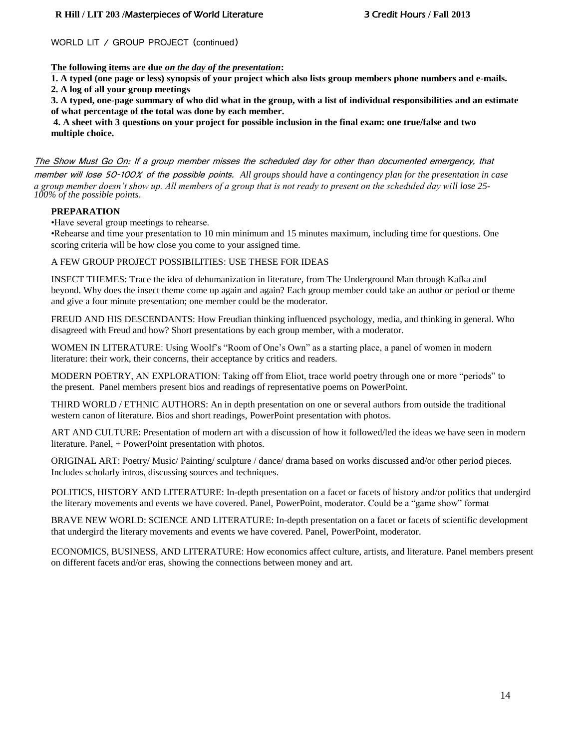#### **R Hill / LIT 203 /**Masterpieces of World Literature 3 Credit Hours **/ Fall 2013**

#### WORLD LIT / GROUP PROJECT (continued)

#### **The following items are due** *on the day of the presentation***:**

**1. A typed (one page or less) synopsis of your project which also lists group members phone numbers and e-mails. 2. A log of all your group meetings**

**3. A typed, one-page summary of who did what in the group, with a list of individual responsibilities and an estimate of what percentage of the total was done by each member.**

**4. A sheet with 3 questions on your project for possible inclusion in the final exam: one true/false and two multiple choice.**

The Show Must Go On: If a group member misses the scheduled day for other than documented emergency, that member will lose 50-100% of the possible points. *All groups should have a contingency plan for the presentation in case a group member doesn't show up. All members of a group that is not ready to present on the scheduled day will lose 25- 100% of the possible points*.

#### **PREPARATION**

•Have several group meetings to rehearse.

•Rehearse and time your presentation to 10 min minimum and 15 minutes maximum, including time for questions. One scoring criteria will be how close you come to your assigned time.

#### A FEW GROUP PROJECT POSSIBILITIES: USE THESE FOR IDEAS

INSECT THEMES: Trace the idea of dehumanization in literature, from The Underground Man through Kafka and beyond. Why does the insect theme come up again and again? Each group member could take an author or period or theme and give a four minute presentation; one member could be the moderator.

FREUD AND HIS DESCENDANTS: How Freudian thinking influenced psychology, media, and thinking in general. Who disagreed with Freud and how? Short presentations by each group member, with a moderator.

WOMEN IN LITERATURE: Using Woolf's "Room of One's Own" as a starting place, a panel of women in modern literature: their work, their concerns, their acceptance by critics and readers.

MODERN POETRY, AN EXPLORATION: Taking off from Eliot, trace world poetry through one or more "periods" to the present. Panel members present bios and readings of representative poems on PowerPoint.

THIRD WORLD / ETHNIC AUTHORS: An in depth presentation on one or several authors from outside the traditional western canon of literature. Bios and short readings, PowerPoint presentation with photos.

ART AND CULTURE: Presentation of modern art with a discussion of how it followed/led the ideas we have seen in modern literature. Panel, + PowerPoint presentation with photos.

ORIGINAL ART: Poetry/ Music/ Painting/ sculpture / dance/ drama based on works discussed and/or other period pieces. Includes scholarly intros, discussing sources and techniques.

POLITICS, HISTORY AND LITERATURE: In-depth presentation on a facet or facets of history and/or politics that undergird the literary movements and events we have covered. Panel, PowerPoint, moderator. Could be a "game show" format

BRAVE NEW WORLD: SCIENCE AND LITERATURE: In-depth presentation on a facet or facets of scientific development that undergird the literary movements and events we have covered. Panel, PowerPoint, moderator.

ECONOMICS, BUSINESS, AND LITERATURE: How economics affect culture, artists, and literature. Panel members present on different facets and/or eras, showing the connections between money and art.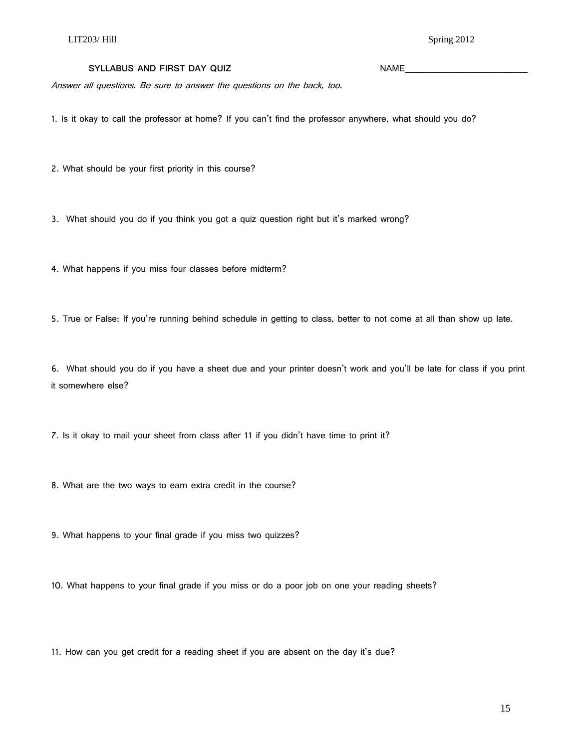#### SYLLABUS AND FIRST DAY QUIZ **NAME**

Answer all questions. Be sure to answer the questions on the back, too.

1. Is it okay to call the professor at home? If you can't find the professor anywhere, what should you do?

2. What should be your first priority in this course?

3. What should you do if you think you got a quiz question right but it's marked wrong?

4. What happens if you miss four classes before midterm?

5. True or False: If you're running behind schedule in getting to class, better to not come at all than show up late.

6. What should you do if you have a sheet due and your printer doesn't work and you'll be late for class if you print it somewhere else?

7. Is it okay to mail your sheet from class after 11 if you didn't have time to print it?

8. What are the two ways to earn extra credit in the course?

9. What happens to your final grade if you miss two quizzes?

10. What happens to your final grade if you miss or do a poor job on one your reading sheets?

11. How can you get credit for a reading sheet if you are absent on the day it's due?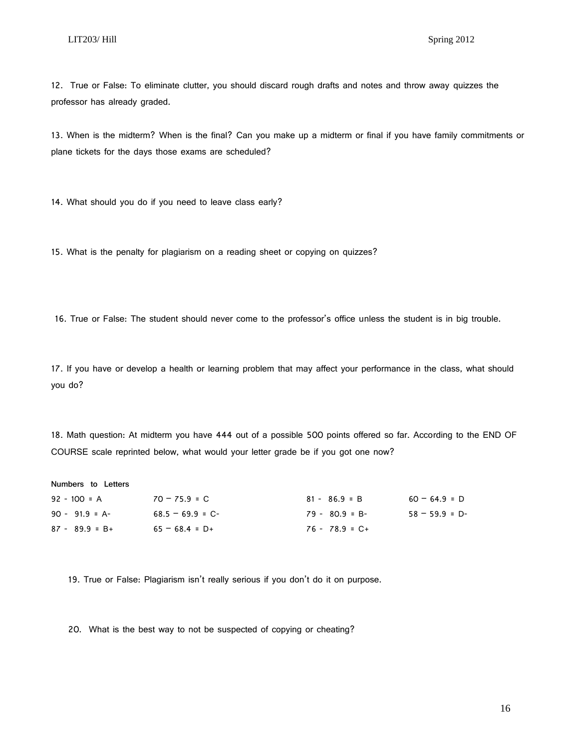12. True or False: To eliminate clutter, you should discard rough drafts and notes and throw away quizzes the professor has already graded.

13. When is the midterm? When is the final? Can you make up a midterm or final if you have family commitments or plane tickets for the days those exams are scheduled?

14. What should you do if you need to leave class early?

15. What is the penalty for plagiarism on a reading sheet or copying on quizzes?

16. True or False: The student should never come to the professor's office unless the student is in big trouble.

17. If you have or develop a health or learning problem that may affect your performance in the class, what should you do?

18. Math question: At midterm you have 444 out of a possible 500 points offered so far. According to the END OF COURSE scale reprinted below, what would your letter grade be if you got one now?

| Numbers to Letters |                   |                   |                 |  |
|--------------------|-------------------|-------------------|-----------------|--|
| $92 - 100 = A$     | $70 - 75.9 = C$   | $81 - 86.9 = B$   | $60 - 64.9 = D$ |  |
| $90 - 91.9 = A$    | $68.5 - 69.9 = C$ | $79 - 80.9 = B -$ | $58 - 59.9 = D$ |  |
| $87 - 89.9 = B +$  | $65 - 68.4 = D +$ | $76 - 78.9 = C +$ |                 |  |

19. True or False: Plagiarism isn't really serious if you don't do it on purpose.

20. What is the best way to not be suspected of copying or cheating?